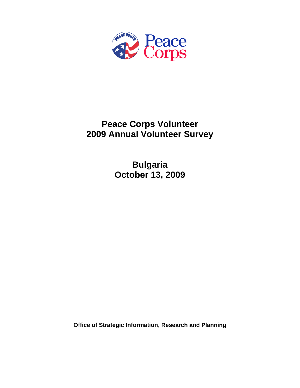

## **Peace Corps Volunteer 2009 Annual Volunteer Survey**

**Bulgaria October 13, 2009** 

**Office of Strategic Information, Research and Planning**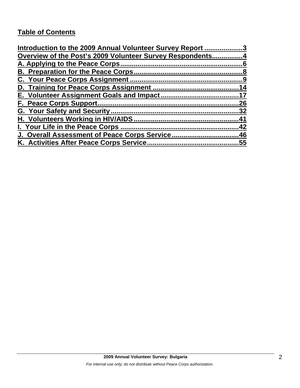## **Table of Contents**

| Introduction to the 2009 Annual Volunteer Survey Report 3 |     |
|-----------------------------------------------------------|-----|
| Overview of the Post's 2009 Volunteer Survey Respondents4 |     |
|                                                           |     |
|                                                           |     |
|                                                           |     |
|                                                           | 14  |
|                                                           |     |
|                                                           | 26  |
|                                                           | .32 |
|                                                           | 41  |
| I. Your Life in the Peace Corps.                          | .42 |
| J. Overall Assessment of Peace Corps Service46            |     |
| K. Activities After Peace Corps Service                   | .55 |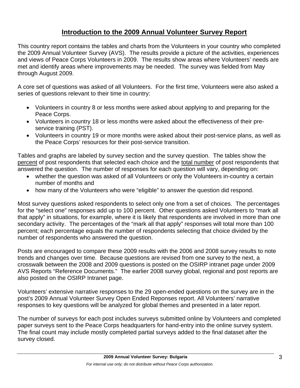## **Introduction to the 2009 Annual Volunteer Survey Report**

This country report contains the tables and charts from the Volunteers in your country who completed the 2009 Annual Volunteer Survey (AVS). The results provide a picture of the activities, experiences and views of Peace Corps Volunteers in 2009. The results show areas where Volunteers' needs are met and identify areas where improvements may be needed. The survey was fielded from May through August 2009.

A core set of questions was asked of all Volunteers. For the first time, Volunteers were also asked a series of questions relevant to their time in country:

- Volunteers in country 8 or less months were asked about applying to and preparing for the Peace Corps.
- Volunteers in country 18 or less months were asked about the effectiveness of their preservice training (PST).
- Volunteers in country 19 or more months were asked about their post-service plans, as well as the Peace Corps' resources for their post-service transition.

Tables and graphs are labeled by survey section and the survey question. The tables show the percent of post respondents that selected each choice and the total number of post respondents that answered the question. The number of responses for each question will vary, depending on:

- whether the question was asked of all Volunteers or only the Volunteers in-country a certain number of months and
- how many of the Volunteers who were "eligible" to answer the question did respond.

Most survey questions asked respondents to select only one from a set of choices. The percentages for the "select one" responses add up to 100 percent. Other questions asked Volunteers to "mark all that apply" in situations, for example, where it is likely that respondents are involved in more than one secondary activity. The percentages of the "mark all that apply" responses will total more than 100 percent; each percentage equals the number of respondents selecting that choice divided by the number of respondents who answered the question.

Posts are encouraged to compare these 2009 results with the 2006 and 2008 survey results to note trends and changes over time. Because questions are revised from one survey to the next, a crosswalk between the 2008 and 2009 questions is posted on the OSIRP intranet page under 2009 AVS Reports "Reference Documents." The earlier 2008 survey global, regional and post reports are also posted on the OSIRP Intranet page.

Volunteers' extensive narrative responses to the 29 open-ended questions on the survey are in the post's 2009 Annual Volunteer Survey Open Ended Reponses report. All Volunteers' narrative responses to key questions will be analyzed for global themes and presented in a later report.

The number of surveys for each post includes surveys submitted online by Volunteers and completed paper surveys sent to the Peace Corps headquarters for hand-entry into the online survey system. The final count may include mostly completed partial surveys added to the final dataset after the survey closed.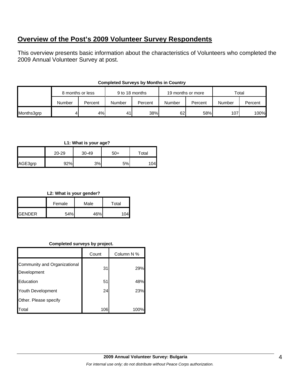## **Overview of the Post's 2009 Volunteer Survey Respondents**

This overview presents basic information about the characteristics of Volunteers who completed the 2009 Annual Volunteer Survey at post.

|            | 8 months or less |         | 9 to 18 months |         | 19 months or more |         | Total  |         |
|------------|------------------|---------|----------------|---------|-------------------|---------|--------|---------|
|            | Number           | Percent | Number         | Percent | Number            | Percent | Number | Percent |
| Months3grp |                  | 4%      | 41             | 38%     | 62                | 58%     | 107    | 100%    |

#### **Completed Surveys by Months in Country**

#### **L1: What is your age?**

|         | $20 - 29$ | 30-49 | $50+$ | $\tau$ otal |  |
|---------|-----------|-------|-------|-------------|--|
| AGE3grp | 92%       | 3%    | 5%    | 04          |  |

#### **L2: What is your gender?**

|                | Female | Male | Total |  |
|----------------|--------|------|-------|--|
| <b>IGENDER</b> | 54%    | 46%  |       |  |

#### **Completed surveys by project.**

|                                             | Count | Column N % |
|---------------------------------------------|-------|------------|
| Community and Organizational<br>Development | 31    | 29%        |
| Education                                   | 51    | 48%        |
| Youth Development                           | 24    | 23%        |
| Other. Please specify                       |       |            |
| otal                                        | 106   | 100%       |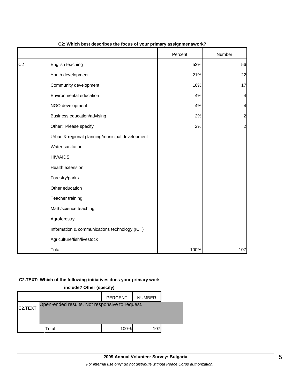|                |                                                 | Percent | Number         |
|----------------|-------------------------------------------------|---------|----------------|
| C <sub>2</sub> | English teaching                                | 52%     | 56             |
|                | Youth development                               | 21%     | 22             |
|                | Community development                           | 16%     | 17             |
|                | Environmental education                         | 4%      | 4              |
|                | NGO development                                 | 4%      | 4              |
|                | Business education/advising                     | 2%      | $\overline{a}$ |
|                | Other: Please specify                           | 2%      | $\overline{a}$ |
|                | Urban & regional planning/municipal development |         |                |
|                | Water sanitation                                |         |                |
|                | <b>HIV/AIDS</b>                                 |         |                |
|                | Health extension                                |         |                |
|                | Forestry/parks                                  |         |                |
|                | Other education                                 |         |                |
|                | Teacher training                                |         |                |
|                | Math/science teaching                           |         |                |
|                | Agroforestry                                    |         |                |
|                | Information & communications technology (ICT)   |         |                |
|                | Agriculture/fish/livestock                      |         |                |
|                | Total                                           | 100%    | 107            |

#### **C2: Which best describes the focus of your primary assignment/work?**

#### **C2.TEXT: Which of the following initiatives does your primary work**

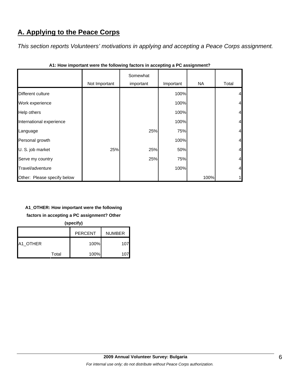## **A. Applying to the Peace Corps**

*This section reports Volunteers' motivations in applying and accepting a Peace Corps assignment.* 

|                             | Not Important | Somewhat<br>important | Important | NA   | Total          |
|-----------------------------|---------------|-----------------------|-----------|------|----------------|
| Different culture           |               |                       | 100%      |      | $\overline{4}$ |
| Work experience             |               |                       | 100%      |      | $\overline{4}$ |
| Help others                 |               |                       | 100%      |      | $\overline{4}$ |
| International experience    |               |                       | 100%      |      | $\overline{4}$ |
| Language                    |               | 25%                   | 75%       |      | $\overline{4}$ |
| Personal growth             |               |                       | 100%      |      | $\overline{4}$ |
| U. S. job market            | 25%           | 25%                   | 50%       |      | $\overline{4}$ |
| Serve my country            |               | 25%                   | 75%       |      | $\overline{4}$ |
| Travel/adventure            |               |                       | 100%      |      | $\overline{4}$ |
| Other: Please specify below |               |                       |           | 100% | 1              |

**A1: How important were the following factors in accepting a PC assignment?**

#### **A1\_OTHER: How important were the following**

**factors in accepting a PC assignment? Other** 

**(specify)**

|          |       | <b>PERCENT</b> | <b>NUMBER</b> |
|----------|-------|----------------|---------------|
| A1 OTHER |       | 100%           | 107           |
|          | Total | 100%           |               |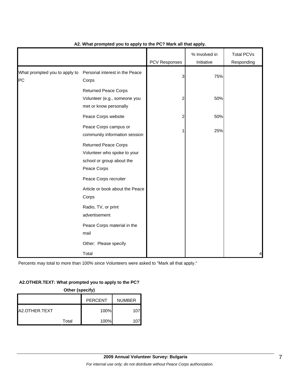|                                     |                                                                                                        | <b>PCV Responses</b> | % Involved in<br>Initiative | <b>Total PCVs</b><br>Responding |
|-------------------------------------|--------------------------------------------------------------------------------------------------------|----------------------|-----------------------------|---------------------------------|
| What prompted you to apply to<br>PC | Personal interest in the Peace<br>Corps                                                                | 3                    | 75%                         |                                 |
|                                     | <b>Returned Peace Corps</b><br>Volunteer (e.g., someone you<br>met or know personally                  | 2                    | 50%                         |                                 |
|                                     | Peace Corps website                                                                                    | 2                    | 50%                         |                                 |
|                                     | Peace Corps campus or<br>community information session                                                 |                      | 25%                         |                                 |
|                                     | <b>Returned Peace Corps</b><br>Volunteer who spoke to your<br>school or group about the<br>Peace Corps |                      |                             |                                 |
|                                     | Peace Corps recruiter                                                                                  |                      |                             |                                 |
|                                     | Article or book about the Peace<br>Corps                                                               |                      |                             |                                 |
|                                     | Radio, TV, or print<br>advertisement                                                                   |                      |                             |                                 |
|                                     | Peace Corps material in the<br>mail                                                                    |                      |                             |                                 |
|                                     | Other: Please specify                                                                                  |                      |                             |                                 |
|                                     | Total                                                                                                  |                      |                             | 4                               |

#### **A2. What prompted you to apply to the PC? Mark all that apply.**

Percents may total to more than 100% since Volunteers were asked to "Mark all that apply."

#### **A2.OTHER.TEXT: What prompted you to apply to the PC?**

**Other (specify)**

|               |       | <b>PERCENT</b> | <b>NUMBER</b> |
|---------------|-------|----------------|---------------|
| A2.OTHER.TEXT |       | 100%           | 107           |
|               | Total | 100%           | 107           |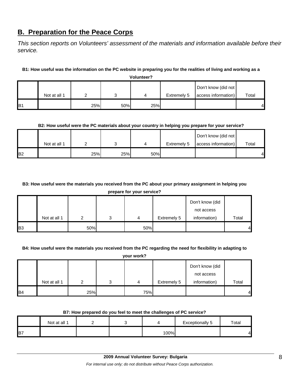## **B. Preparation for the Peace Corps**

*This section reports on Volunteers' assessment of the materials and information available before their service.* 

#### **B1: How useful was the information on the PC website in preparing you for the realities of living and working as a Volunteer?**

|                 | volunteer?   |     |     |     |                    |                     |       |  |
|-----------------|--------------|-----|-----|-----|--------------------|---------------------|-------|--|
|                 |              |     |     |     |                    | Don't know (did not |       |  |
|                 | Not at all 1 |     |     |     | <b>Extremely 5</b> | access information) | Total |  |
| IB <sub>1</sub> |              | 25% | 50% | 25% |                    |                     | 41    |  |

#### **B2: How useful were the PC materials about your country in helping you prepare for your service?**

|                 |              |     |     |     |             | Don't know (did not |       |
|-----------------|--------------|-----|-----|-----|-------------|---------------------|-------|
|                 | Not at all 1 |     |     |     | Extremely 5 | access information) | Total |
| IB <sub>2</sub> |              | 25% | 25% | 50% |             |                     | 4     |

#### **B3: How useful were the materials you received from the PC about your primary assignment in helping you**

**prepare for your service?**

|            |              |     |   |     |             | Don't know (did |       |
|------------|--------------|-----|---|-----|-------------|-----------------|-------|
|            |              |     |   |     |             | not access      |       |
|            | Not at all 1 |     | ◠ | 4   | Extremely 5 | information)    | Total |
| <b>B</b> 3 |              | 50% |   | 50% |             |                 |       |

#### **B4: How useful were the materials you received from the PC regarding the need for flexibility in adapting to**

| your work? |
|------------|
|            |

|                |              |     |   |     |             | Don't know (did |       |
|----------------|--------------|-----|---|-----|-------------|-----------------|-------|
|                |              |     |   |     |             | not access      |       |
|                | Not at all 1 |     | 2 | 4   | Extremely 5 | information)    | Total |
| B <sub>4</sub> |              | 25% |   | 75% |             |                 | 4     |

#### **B7: How prepared do you feel to meet the challenges of PC service?**

|             | Not at all 1 |  |      | <b>Exceptionally 5</b> | Total |
|-------------|--------------|--|------|------------------------|-------|
| <b>I</b> B7 |              |  | 100% |                        | 41    |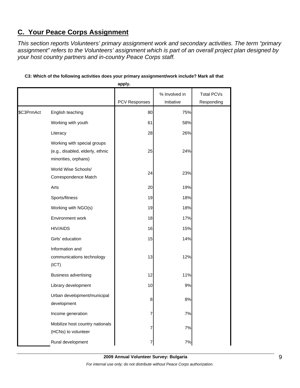## **C. Your Peace Corps Assignment**

*This section reports Volunteers' primary assignment work and secondary activities. The term "primary assignment" refers to the Volunteers' assignment which is part of an overall project plan designed by your host country partners and in-country Peace Corps staff.* 

|            |                                                                                         | apply.        |                             |                                 |
|------------|-----------------------------------------------------------------------------------------|---------------|-----------------------------|---------------------------------|
|            |                                                                                         | PCV Responses | % Involved in<br>Initiative | <b>Total PCVs</b><br>Responding |
| \$C3PrmAct | English teaching                                                                        | 80            | 75%                         |                                 |
|            | Working with youth                                                                      | 61            | 58%                         |                                 |
|            | Literacy                                                                                | 28            | 26%                         |                                 |
|            | Working with special groups<br>(e.g., disabled, elderly, ethnic<br>minorities, orphans) | 25            | 24%                         |                                 |
|            | World Wise Schools/<br>Correspondence Match                                             | 24            | 23%                         |                                 |
|            | Arts                                                                                    | 20            | 19%                         |                                 |
|            | Sports/fitness                                                                          | 19            | 18%                         |                                 |
|            | Working with NGO(s)                                                                     | 19            | 18%                         |                                 |
|            | Environment work                                                                        | 18            | 17%                         |                                 |
|            | <b>HIV/AIDS</b>                                                                         | 16            | 15%                         |                                 |
|            | Girls' education                                                                        | 15            | 14%                         |                                 |
|            | Information and<br>communications technology<br>(ICT)                                   | 13            | 12%                         |                                 |
|            | <b>Business advertising</b>                                                             | 12            | 11%                         |                                 |
|            | Library development                                                                     | 10            | 9%                          |                                 |
|            | Urban development/municipal<br>development                                              | 8             | 8%                          |                                 |
|            | Income generation                                                                       | 7             | 7%                          |                                 |
|            | Mobilize host country nationals<br>(HCNs) to volunteer                                  | 7             | 7%                          |                                 |
|            | Rural development                                                                       | 7             | $7\%$                       |                                 |

#### **C3: Which of the following activities does your primary assignment/work include? Mark all that**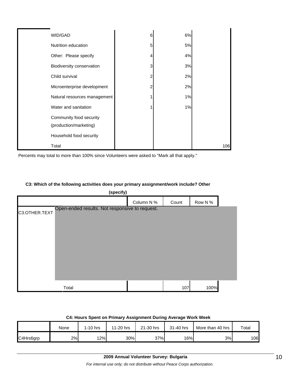| WID/GAD                      | 6 | 6% |     |
|------------------------------|---|----|-----|
| Nutrition education          | 5 | 5% |     |
| Other: Please specify        |   | 4% |     |
| Biodiversity conservation    | 3 | 3% |     |
| Child survival               |   | 2% |     |
| Microenterprise development  |   | 2% |     |
| Natural resources management |   | 1% |     |
| Water and sanitation         |   | 1% |     |
| Community food security      |   |    |     |
| (production/marketing)       |   |    |     |
| Household food security      |   |    |     |
| Total                        |   |    | 106 |

Percents may total to more than 100% since Volunteers were asked to "Mark all that apply."

#### **C3: Which of the following activities does your primary assignment/work include? Other**

| (specify)     |                                                |            |       |         |  |  |
|---------------|------------------------------------------------|------------|-------|---------|--|--|
|               |                                                | Column N % | Count | Row N % |  |  |
| C3.OTHER.TEXT | Open-ended results. Not responsive to request. |            |       |         |  |  |
|               | Total                                          |            | 107   | 100%    |  |  |

| 64: Hours Spent on Primary Assignment During Average work week |      |            |           |           |           |                  |       |  |  |
|----------------------------------------------------------------|------|------------|-----------|-----------|-----------|------------------|-------|--|--|
|                                                                | None | $1-10$ hrs | 11-20 hrs | 21-30 hrs | 31-40 hrs | More than 40 hrs | Total |  |  |
| C4Hrs6arp                                                      | 2%I  | 12%        | 30%       | 37%       | 16%       | 3%               | 106   |  |  |

#### **C4: Hours Spent on Primary Assignment During Average Work Week**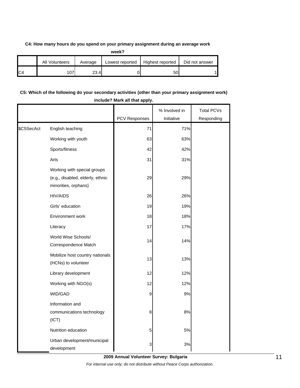#### **C4: How many hours do you spend on your primary assignment during an average work**

|                | <b>All Volunteers</b> | Average | Lowest reported | Highest reported | Did not answer |
|----------------|-----------------------|---------|-----------------|------------------|----------------|
| C <sub>4</sub> | 07                    | 23.4    |                 | 50               |                |

#### **C5: Which of the following do your secondary activities (other than your primary assignment work) include? Mark all that apply.**

|            |                                                                 | PCV Responses | % Involved in<br>Initiative | <b>Total PCVs</b><br>Responding |
|------------|-----------------------------------------------------------------|---------------|-----------------------------|---------------------------------|
| \$C5SecAct | English teaching                                                | 71            | 71%                         |                                 |
|            | Working with youth                                              | 63            | 63%                         |                                 |
|            | Sports/fitness                                                  | 42            | 42%                         |                                 |
|            | Arts                                                            | 31            | 31%                         |                                 |
|            | Working with special groups<br>(e.g., disabled, elderly, ethnic | 29            | 29%                         |                                 |
|            | minorities, orphans)<br><b>HIV/AIDS</b>                         | 26            | 26%                         |                                 |
|            | Girls' education                                                | 19            | 19%                         |                                 |
|            |                                                                 |               |                             |                                 |
|            | Environment work                                                | 18            | 18%                         |                                 |
|            | Literacy                                                        | 17            | 17%                         |                                 |
|            | World Wise Schools/<br>Correspondence Match                     | 14            | 14%                         |                                 |
|            | Mobilize host country nationals<br>(HCNs) to volunteer          | 13            | 13%                         |                                 |
|            | Library development                                             | 12            | 12%                         |                                 |
|            | Working with NGO(s)                                             | 12            | 12%                         |                                 |
|            | WID/GAD                                                         | 9             | 9%                          |                                 |
|            | Information and<br>communications technology<br>(ICT)           | 8             | 8%                          |                                 |
|            | Nutrition education                                             | 5             | 5%                          |                                 |
|            | Urban development/municipal<br>development                      | 3             | 3%                          |                                 |

**2009 Annual Volunteer Survey: Bulgaria**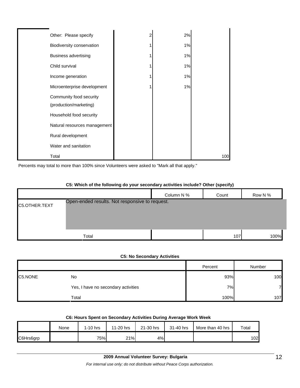| Other: Please specify                             | 2%    |     |
|---------------------------------------------------|-------|-----|
| Biodiversity conservation                         | 1%    |     |
| <b>Business advertising</b>                       | 1%    |     |
| Child survival                                    | 1%    |     |
| Income generation                                 | $1\%$ |     |
| Microenterprise development                       | 1%    |     |
| Community food security<br>(production/marketing) |       |     |
| Household food security                           |       |     |
| Natural resources management                      |       |     |
| Rural development                                 |       |     |
| Water and sanitation                              |       |     |
| Total                                             |       | 100 |

Percents may total to more than 100% since Volunteers were asked to "Mark all that apply."

#### **C5: Which of the following do your secondary activities include? Other (specify)**

|               |                                                | Column N % | Count | Row N % |
|---------------|------------------------------------------------|------------|-------|---------|
| C5.OTHER.TEXT | Open-ended results. Not responsive to request. |            |       |         |
|               |                                                |            |       |         |
|               |                                                |            |       |         |
|               | Total                                          |            | 107   | 100%    |

#### **C5: No Secondary Activities**

|         |                                     | Percent | Number |
|---------|-------------------------------------|---------|--------|
| C5.NONE | No                                  | 93%     | 100    |
|         | Yes, I have no secondary activities | 7%      | 7      |
|         | Total                               | 100%    | 107    |

| C6: Hours Spent on Secondary Activities During Average Work Week |  |  |
|------------------------------------------------------------------|--|--|
|------------------------------------------------------------------|--|--|

|           | None | $1-10$ hrs | 11-20 hrs | 21-30 hrs | 31-40 hrs | More than 40 hrs | Total |
|-----------|------|------------|-----------|-----------|-----------|------------------|-------|
| C6Hrs6grp |      | 75%        | 21%       | 4%        |           |                  | 102l  |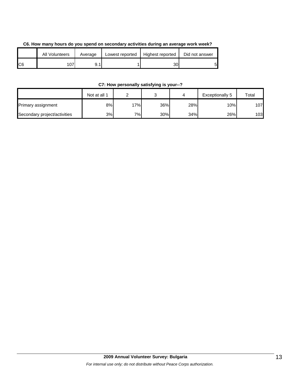| C6. How many hours do you spend on secondary activities during an average work week? |  |
|--------------------------------------------------------------------------------------|--|
|--------------------------------------------------------------------------------------|--|

|     | All Volunteers | Average | Lowest reported | Highest reported | Did not answer |
|-----|----------------|---------|-----------------|------------------|----------------|
| IC6 | 07             |         |                 | 301              | 5              |

**C7: How personally satisfying is your--?**

|                              | Not at all 1 |     |     |     | Exceptionally 5 | Total |
|------------------------------|--------------|-----|-----|-----|-----------------|-------|
| Primary assignment           | 8%           | 17% | 36% | 28% | 10%             | 107   |
| Secondary project/activities | 3%           | 7%  | 30% | 34% | 26%             | 103   |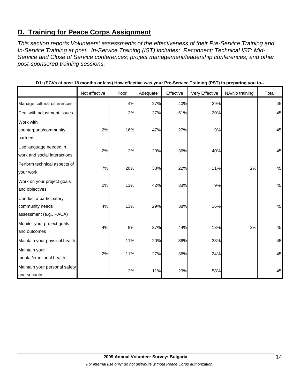## **D. Training for Peace Corps Assignment**

*This section reports Volunteers' assessments of the effectiveness of their Pre-Service Training and In-Service Training at post. In-Service Training (IST) includes: Reconnect; Technical IST; Mid-Service and Close of Service conferences; project management/leadership conferences; and other post-sponsored training sessions.* 

|                               |               |      |          |           | ັ່             | . .            |       |
|-------------------------------|---------------|------|----------|-----------|----------------|----------------|-------|
|                               | Not effective | Poor | Adequate | Effective | Very Effective | NA/No training | Total |
| Manage cultural differences   |               | 4%   | 27%      | 40%       | 29%            |                | 45    |
| Deal with adjustment issues   |               | 2%   | 27%      | 51%       | 20%            |                | 45    |
| Work with                     |               |      |          |           |                |                |       |
| counterparts/community        | 2%            | 16%  | 47%      | 27%       | 9%             |                | 45    |
| partners                      |               |      |          |           |                |                |       |
| Use language needed in        | 2%            | 2%   | 20%      | 36%       | 40%            |                | 45    |
| work and social interactions  |               |      |          |           |                |                |       |
| Perform technical aspects of  | 7%            | 20%  | 38%      | 22%       | 11%            | 2%             | 45    |
| your work                     |               |      |          |           |                |                |       |
| Work on your project goals    | 2%            | 13%  | 42%      | 33%       | 9%             |                | 45    |
| and objectives                |               |      |          |           |                |                |       |
| Conduct a participatory       |               |      |          |           |                |                |       |
| community needs               | 4%            | 13%  | 29%      | 38%       | 16%            |                | 45    |
| assessment (e.g., PACA)       |               |      |          |           |                |                |       |
| Monitor your project goals    | 4%            | 9%   | 27%      | 44%       | 13%            | 2%             | 45    |
| and outcomes                  |               |      |          |           |                |                |       |
| Maintain your physical health |               | 11%  | 20%      | 36%       | 33%            |                | 45    |
| Maintain your                 | 2%            | 11%  | 27%      | 36%       | 24%            |                | 45    |
| mental/emotional health       |               |      |          |           |                |                |       |
| Maintain your personal safety |               |      |          |           |                |                | 45    |
| and security                  |               | 2%   | 11%      | 29%       | 58%            |                |       |

**D1: (PCVs at post 18 months or less) How effective was your Pre-Service Training (PST) in preparing you to--**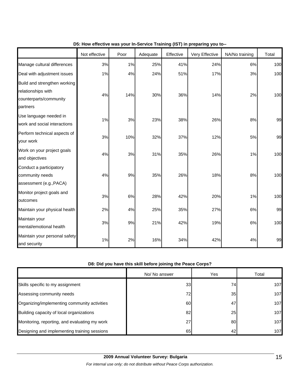|                                                                                          | Not effective | Poor | Adequate | Effective | Very Effective | NA/No training | Total |
|------------------------------------------------------------------------------------------|---------------|------|----------|-----------|----------------|----------------|-------|
| Manage cultural differences                                                              | 3%            | 1%   | 25%      | 41%       | 24%            | 6%             | 100   |
| Deal with adjustment issues                                                              | 1%            | 4%   | 24%      | 51%       | 17%            | 3%             | 100   |
| Build and strengthen working<br>relationships with<br>counterparts/community<br>partners | 4%            | 14%  | 30%      | 36%       | 14%            | 2%             | 100   |
| Use language needed in<br>work and social interactions                                   | 1%            | 3%   | 23%      | 38%       | 26%            | 8%             | 99    |
| Perform technical aspects of<br>your work                                                | 3%            | 10%  | 32%      | 37%       | 12%            | 5%             | 99    |
| Work on your project goals<br>and objectives                                             | 4%            | 3%   | 31%      | 35%       | 26%            | 1%             | 100   |
| Conduct a participatory<br>community needs<br>assessment (e.g., PACA)                    | 4%            | 9%   | 35%      | 26%       | 18%            | 8%             | 100   |
| Monitor project goals and<br>outcomes                                                    | 3%            | 6%   | 28%      | 42%       | 20%            | 1%             | 100   |
| Maintain your physical health                                                            | 2%            | 4%   | 25%      | 35%       | 27%            | 6%             | 99    |
| Maintain your<br>mental/emotional health                                                 | 3%            | 9%   | 21%      | 42%       | 19%            | 6%             | 100   |
| Maintain your personal safety<br>and security                                            | 1%            | 2%   | 16%      | 34%       | 42%            | 4%             | 99    |

#### **D5: How effective was your In-Service Training (IST) in preparing you to--**

#### **D8: Did you have this skill before joining the Peace Corps?**

|                                               | No/ No answer   | Yes | Total |
|-----------------------------------------------|-----------------|-----|-------|
| Skills specific to my assignment              | 33 <sub>1</sub> | 74  | 107   |
| Assessing community needs                     | 72              | 35  | 107   |
| Organizing/implementing community activities  | 60              | 47  | 107   |
| Building capacity of local organizations      | 82              | 25  | 107   |
| Monitoring, reporting, and evaluating my work | 27              | 80  | 107   |
| Designing and implementing training sessions  | 65              | 42  | 107   |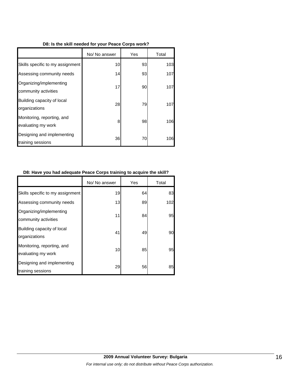#### **D8: Is the skill needed for your Peace Corps work?**

|                                                  | No/ No answer | Yes | Total |
|--------------------------------------------------|---------------|-----|-------|
| Skills specific to my assignment                 | 10            | 93  | 103   |
| Assessing community needs                        | 14            | 93  | 107   |
| Organizing/implementing<br>community activities  | 17            | 90  | 107   |
| Building capacity of local<br>organizations      | 28            | 79  | 107   |
| Monitoring, reporting, and<br>evaluating my work | 8             | 98  | 106   |
| Designing and implementing<br>training sessions  | 36            | 70  | 106   |

#### **D8: Have you had adequate Peace Corps training to acquire the skill?**

|                                                  | No/ No answer | Yes | Total |
|--------------------------------------------------|---------------|-----|-------|
| Skills specific to my assignment                 | 19            | 64  | 83    |
| Assessing community needs                        | 13            | 89  | 102   |
| Organizing/implementing<br>community activities  | 11            | 84  | 95    |
| Building capacity of local<br>organizations      | 41            | 49  | 90    |
| Monitoring, reporting, and<br>evaluating my work | 10            | 85  | 95    |
| Designing and implementing<br>training sessions  | 29            | 56  | 85    |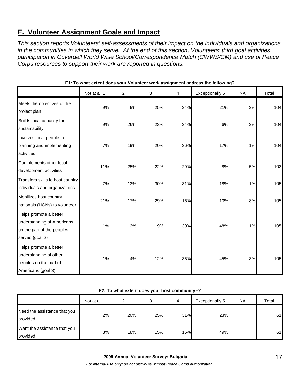## **E. Volunteer Assignment Goals and Impact**

*This section reports Volunteers' self-assessments of their impact on the individuals and organizations in the communities in which they serve. At the end of this section, Volunteers' third goal activities, participation in Coverdell World Wise School/Correspondence Match (CWWS/CM) and use of Peace Corps resources to support their work are reported in questions.* 

|                                                                                                       | Not at all 1 | 2   | 3   | 4   | <b>Exceptionally 5</b> | <b>NA</b> | Total |
|-------------------------------------------------------------------------------------------------------|--------------|-----|-----|-----|------------------------|-----------|-------|
| Meets the objectives of the<br>project plan                                                           | 9%           | 9%  | 25% | 34% | 21%                    | 3%        | 104   |
| Builds local capacity for<br>sustainability                                                           | 9%           | 26% | 23% | 34% | 6%                     | 3%        | 104   |
| Involves local people in<br>planning and implementing<br>activities                                   | 7%           | 19% | 20% | 36% | 17%                    | 1%        | 104   |
| Complements other local<br>development activities                                                     | 11%          | 25% | 22% | 29% | 8%                     | 5%        | 103   |
| Transfers skills to host country<br>individuals and organizations                                     | 7%           | 13% | 30% | 31% | 18%                    | 1%        | 105   |
| Mobilizes host country<br>nationals (HCNs) to volunteer                                               | 21%          | 17% | 29% | 16% | 10%                    | 8%        | 105   |
| Helps promote a better<br>understanding of Americans<br>on the part of the peoples<br>served (goal 2) | 1%           | 3%  | 9%  | 39% | 48%                    | 1%        | 105   |
| Helps promote a better<br>understanding of other<br>peoples on the part of<br>Americans (goal 3)      | 1%           | 4%  | 12% | 35% | 45%                    | 3%        | 105   |

**E1: To what extent does your Volunteer work assignment address the following?**

| E2: To what extent does your host community--? |  |
|------------------------------------------------|--|
|------------------------------------------------|--|

|                                          | Not at all 1 | າ   | 3   | 4   | <b>Exceptionally 5</b> | <b>NA</b> | Total |
|------------------------------------------|--------------|-----|-----|-----|------------------------|-----------|-------|
| Need the assistance that you<br>provided | 2%           | 20% | 25% | 31% | 23%                    |           | 61    |
| Want the assistance that you<br>provided | 3%           | 18% | 15% | 15% | 49%                    |           | 61    |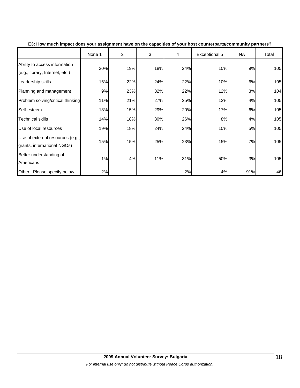|                                                                  | None 1 | $\overline{c}$ | 3   | 4   | Exceptional 5 | NA  | Total |
|------------------------------------------------------------------|--------|----------------|-----|-----|---------------|-----|-------|
| Ability to access information<br>(e.g., library, Internet, etc.) | 20%    | 19%            | 18% | 24% | 10%           | 9%  | 105   |
| Leadership skills                                                | 16%    | 22%            | 24% | 22% | 10%           | 6%  | 105   |
| Planning and management                                          | 9%     | 23%            | 32% | 22% | 12%           | 3%  | 104   |
| Problem solving/critical thinking                                | 11%    | 21%            | 27% | 25% | 12%           | 4%  | 105   |
| Self-esteem                                                      | 13%    | 15%            | 29% | 20% | 17%           | 6%  | 105   |
| <b>Technical skills</b>                                          | 14%    | 18%            | 30% | 26% | 8%            | 4%  | 105   |
| Use of local resources                                           | 19%    | 18%            | 24% | 24% | 10%           | 5%  | 105   |
| Use of external resources (e.g.,<br>grants, international NGOs)  | 15%    | 15%            | 25% | 23% | 15%           | 7%  | 105   |
| Better understanding of<br>Americans                             | 1%     | 4%             | 11% | 31% | 50%           | 3%  | 105   |
| Other: Please specify below                                      | 2%     |                |     | 2%  | 4%            | 91% | 46    |

**E3: How much impact does your assignment have on the capacities of your host counterparts/community partners?**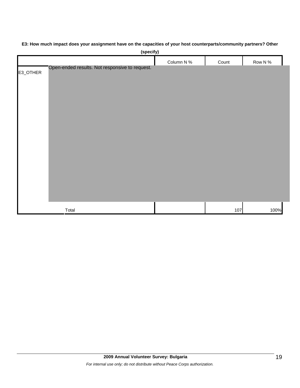# **(specify)** Column N % Count Row N % E3\_OTHER Total 107 100% Open-ended results. Not responsive to request.

#### **E3: How much impact does your assignment have on the capacities of your host counterparts/community partners? Other**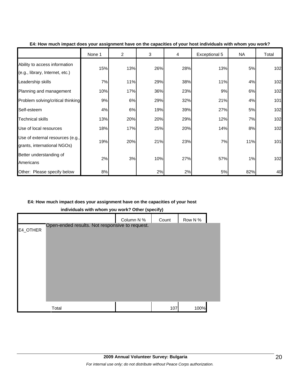|                                                                  | None 1 | $\overline{2}$ | 3   | 4   | <b>Exceptional 5</b> | NA  | Total |
|------------------------------------------------------------------|--------|----------------|-----|-----|----------------------|-----|-------|
| Ability to access information<br>(e.g., library, Internet, etc.) | 15%    | 13%            | 26% | 28% | 13%                  | 5%  | 102   |
| Leadership skills                                                | 7%     | 11%            | 29% | 38% | 11%                  | 4%  | 102   |
| Planning and management                                          | 10%    | 17%            | 36% | 23% | 9%                   | 6%  | 102   |
| Problem solving/critical thinking                                | 9%     | 6%             | 29% | 32% | 21%                  | 4%  | 101   |
| Self-esteem                                                      | 4%     | 6%             | 19% | 39% | 27%                  | 5%  | 102   |
| <b>Technical skills</b>                                          | 13%    | 20%            | 20% | 29% | 12%                  | 7%  | 102   |
| Use of local resources                                           | 18%    | 17%            | 25% | 20% | 14%                  | 8%  | 102   |
| Use of external resources (e.g.,<br>grants, international NGOs)  | 19%    | 20%            | 21% | 23% | 7%                   | 11% | 101   |
| Better understanding of<br>Americans                             | 2%     | 3%             | 10% | 27% | 57%                  | 1%  | 102   |
| Other: Please specify below                                      | 8%     |                | 2%  | 2%  | 5%                   | 82% | 40    |

**E4: How much impact does your assignment have on the capacities of your host individuals with whom you work?**

#### **E4: How much impact does your assignment have on the capacities of your host**

**individuals with whom you work? Other (specify)**

|          |                                                | Column N % | Count | Row N % |  |
|----------|------------------------------------------------|------------|-------|---------|--|
| E4_OTHER | Open-ended results. Not responsive to request. |            |       |         |  |
|          |                                                |            |       |         |  |
|          |                                                |            |       |         |  |
|          |                                                |            |       |         |  |
|          |                                                |            |       |         |  |
|          |                                                |            |       |         |  |
|          |                                                |            |       |         |  |
|          |                                                |            |       |         |  |
|          | Total                                          |            | 107   | 100%    |  |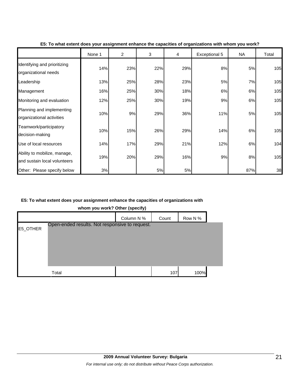|                                                              | None 1 | 2   | 3   | 4   | Exceptional 5 | NA  | Total |
|--------------------------------------------------------------|--------|-----|-----|-----|---------------|-----|-------|
| Identifying and prioritizing<br>organizational needs         | 14%    | 23% | 22% | 29% | 8%            | 5%  | 105   |
| Leadership                                                   | 13%    | 25% | 28% | 23% | 5%            | 7%  | 105   |
| Management                                                   | 16%    | 25% | 30% | 18% | 6%            | 6%  | 105   |
| Monitoring and evaluation                                    | 12%    | 25% | 30% | 19% | 9%            | 6%  | 105   |
| Planning and implementing<br>organizational activities       | 10%    | 9%  | 29% | 36% | 11%           | 5%  | 105   |
| Teamwork/participatory<br>decision-making                    | 10%    | 15% | 26% | 29% | 14%           | 6%  | 105   |
| Use of local resources                                       | 14%    | 17% | 29% | 21% | 12%           | 6%  | 104   |
| Ability to mobilize, manage,<br>and sustain local volunteers | 19%    | 20% | 29% | 16% | 9%            | 8%  | 105   |
| Other: Please specify below                                  | 3%     |     | 5%  | 5%  |               | 87% | 38    |

**E5: To what extent does your assignment enhance the capacities of organizations with whom you work?**

#### **E5: To what extent does your assignment enhance the capacities of organizations with**

**whom you work? Other (specify)**

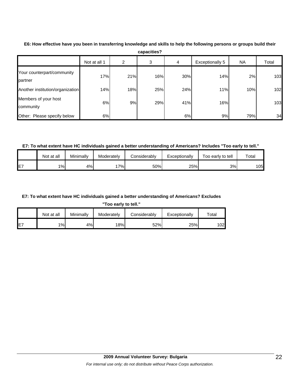|                                       | Not at all 1 | 2   | 3   | 4   | Exceptionally 5 | NA  | Total |
|---------------------------------------|--------------|-----|-----|-----|-----------------|-----|-------|
| Your counterpart/community<br>partner | 17%          | 21% | 16% | 30% | 14%             | 2%  | 103   |
| Another institution/organization      | 14%          | 18% | 25% | 24% | 11%             | 10% | 102   |
| Members of your host<br>community     | 6%           | 9%  | 29% | 41% | 16%             |     | 103   |
| Other: Please specify below           | 6%           |     |     | 6%  | 9%              | 79% | 34    |

**E6: How effective have you been in transferring knowledge and skills to help the following persons or groups build their capacities?**

**E7: To what extent have HC individuals gained a better understanding of Americans? Includes "Too early to tell."**

|    | Not at all | Minimally | Moderately | <b>Considerably</b> | Exceptionally | Foo early to tell | $\tau$ otal |
|----|------------|-----------|------------|---------------------|---------------|-------------------|-------------|
| E7 | 1%         | 4%l       | $7\%$      | 50%                 | 25%           | 3%                | 1051        |

**E7: To what extent have HC individuals gained a better understanding of Americans? Excludes** 

**"Too early to tell."**

|     | Not at all | Minimallv | Moderately | Considerably | Exceptionally | $\tau$ otal |
|-----|------------|-----------|------------|--------------|---------------|-------------|
| IE7 | $1\%$      | 4%        | 18%        | 52%          | 25%           | 1021        |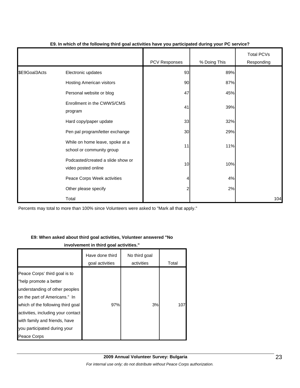|               |                                                              | <b>PCV Responses</b> | % Doing This | <b>Total PCVs</b><br>Responding |
|---------------|--------------------------------------------------------------|----------------------|--------------|---------------------------------|
| \$E9Goal3Acts | Electronic updates                                           | 93                   | 89%          |                                 |
|               | <b>Hosting American visitors</b>                             | 90                   | 87%          |                                 |
|               | Personal website or blog                                     | 47                   | 45%          |                                 |
|               | Enrollment in the CWWS/CMS<br>program                        | 41                   | 39%          |                                 |
|               | Hard copy/paper update                                       | 33                   | 32%          |                                 |
|               | Pen pal program/letter exchange                              | 30                   | 29%          |                                 |
|               | While on home leave, spoke at a<br>school or community group | 11                   | 11%          |                                 |
|               | Podcasted/created a slide show or<br>video posted online     | 10                   | 10%          |                                 |
|               | Peace Corps Week activities                                  | 4                    | 4%           |                                 |
|               | Other please specify                                         | $\overline{c}$       | 2%           |                                 |
|               | Total                                                        |                      |              | 104                             |

#### **E9. In which of the following third goal activities have you participated during your PC service?**

Percents may total to more than 100% since Volunteers were asked to "Mark all that apply."

#### **E9: When asked about third goal activities, Volunteer answered "No**

**involvement in third goal activities."** 

|                                                                                                                                                                                                                                                                                       | Have done third<br>goal activities | No third goal<br>activities | Total |
|---------------------------------------------------------------------------------------------------------------------------------------------------------------------------------------------------------------------------------------------------------------------------------------|------------------------------------|-----------------------------|-------|
| Peace Corps' third goal is to<br>"help promote a better<br>understanding of other peoples<br>on the part of Americans." In<br>which of the following third goal<br>activities, including your contact<br>with family and friends, have<br>you participated during your<br>Peace Corps | 97%                                | 3%                          | 107   |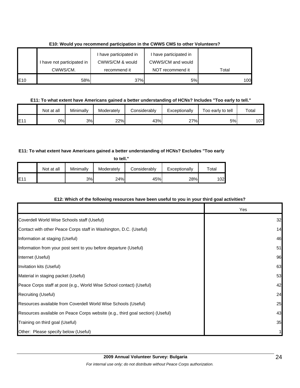|     | have not participated in | I have participated in<br>CWWS/CM & would | I have participated in<br>CWWS/CM and would |       |
|-----|--------------------------|-------------------------------------------|---------------------------------------------|-------|
|     | CWWS/CM.                 | recommend it                              | NOT recommend it                            | Total |
| E10 | 58%                      | 37%                                       | 5%                                          | 100   |

#### **E10: Would you recommend participation in the CWWS CMS to other Volunteers?**

#### **E11: To what extent have Americans gained a better understanding of HCNs? Includes "Too early to tell."**

|                 | Not at all | Minimallv | Moderatelv | Considerably | Exceptionally | Too early to tell | $\tau$ otal |
|-----------------|------------|-----------|------------|--------------|---------------|-------------------|-------------|
| E1 <sup>4</sup> | 0%l        | 3%        | 22%        | 43%          | 27%           | 5%l               | 107         |

#### **E11: To what extent have Americans gained a better understanding of HCNs? Excludes "Too early**

|     | Not at all | Minimally | Moderately | Considerably | Exceptionally | $\tau$ otal |
|-----|------------|-----------|------------|--------------|---------------|-------------|
| E11 |            | 3%        | 24%        | 45%          | 28%           | 1021        |

#### **E12: Which of the following resources have been useful to you in your third goal activities?**

|                                                                                | Yes |
|--------------------------------------------------------------------------------|-----|
| Coverdell World Wise Schools staff (Useful)                                    | 32  |
| Contact with other Peace Corps staff in Washington, D.C. (Useful)              | 14  |
| Information at staging (Useful)                                                | 46  |
| Information from your post sent to you before departure (Useful)               | 51  |
| Internet (Useful)                                                              | 96  |
| Invitation kits (Useful)                                                       | 63  |
| Material in staging packet (Useful)                                            | 53  |
| Peace Corps staff at post (e.g., World Wise School contact) (Useful)           | 42  |
| Recruiting (Useful)                                                            | 24  |
| Resources available from Coverdell World Wise Schools (Useful)                 | 25  |
| Resources available on Peace Corps website (e.g., third goal section) (Useful) | 43  |
| Training on third goal (Useful)                                                | 35  |
| Other: Please specify below (Useful)                                           |     |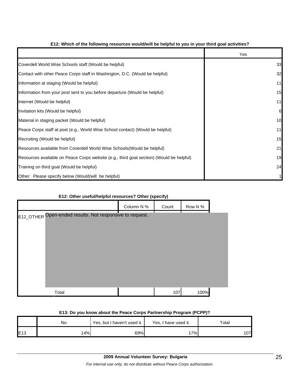|                                                                                          | Yes |
|------------------------------------------------------------------------------------------|-----|
| Coverdell World Wise Schools staff (Would be helpful)                                    | 33  |
| Contact with other Peace Corps staff in Washington, D.C. (Would be helpful)              | 32  |
| Information at staging (Would be helpful)                                                | 11  |
| Information from your post sent to you before departure (Would be helpful)               | 15  |
| Internet (Would be helpful)                                                              | 11  |
| Invitation kits (Would be helpful)                                                       | 6   |
| Material in staging packet (Would be helpful)                                            | 10  |
| Peace Corps staff at post (e.g., World Wise School contact) (Would be helpful)           | 11  |
| Recruiting (Would be helpful)                                                            | 15  |
| Resources available from Coverdell World Wise Schools (Would be helpful)                 | 21  |
| Resources available on Peace Corps website (e.g., third goal section) (Would be helpful) | 19  |
| Training on third goal (Would be helpful)                                                | 24  |
| Other: Please specify below (Would/will be helpful)                                      |     |

#### **E12: Which of the following resources would/will be helpful to you in your third goal activities?**

#### **E12: Other useful/helpful resources? Other (specify)**

|                                                          | Column N % | Count | Row N % |  |  |  |  |  |  |
|----------------------------------------------------------|------------|-------|---------|--|--|--|--|--|--|
| E12_OTHER Open-ended results. Not responsive to request. |            |       |         |  |  |  |  |  |  |
|                                                          |            |       |         |  |  |  |  |  |  |
|                                                          |            |       |         |  |  |  |  |  |  |
|                                                          |            |       |         |  |  |  |  |  |  |
|                                                          |            |       |         |  |  |  |  |  |  |
|                                                          |            |       |         |  |  |  |  |  |  |
|                                                          |            |       |         |  |  |  |  |  |  |
| Total                                                    |            | 107   | 100%    |  |  |  |  |  |  |

#### **E13: Do you know about the Peace Corps Partnership Program (PCPP)?**

|     | No  | Yes, but I haven't used it. | Yes, I have used it. | Total |  |
|-----|-----|-----------------------------|----------------------|-------|--|
| E13 | 14% | 69%                         | '7%.                 | 107   |  |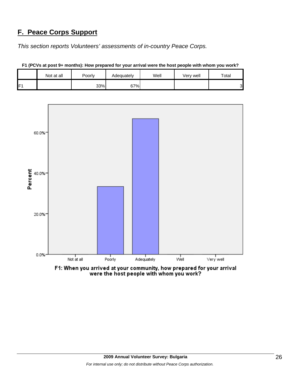## **F. Peace Corps Support**

*This section reports Volunteers' assessments of in-country Peace Corps.* 

|   | Not at all | Poorly | Adequately | Well | Very well | Total  |
|---|------------|--------|------------|------|-----------|--------|
| E |            | 33%    | 67%        |      |           | ົ<br>◡ |



**F1 (PCVs at post 9+ months): How prepared for your arrival were the host people with whom you work?**

F1: When you arrived at your community, how prepared for your arrival were the host people with whom you work?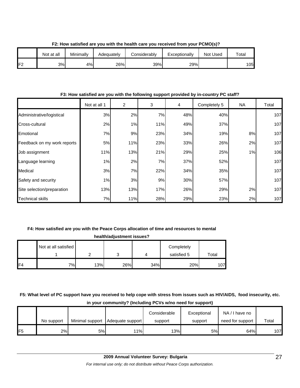|                 | Not at all | Minimally | Adequatelv | <b>Considerably</b> | Exceptionally | Not Used | Total |
|-----------------|------------|-----------|------------|---------------------|---------------|----------|-------|
| IF <sup>2</sup> | 3%         | 4%        | 26%        | 39%                 | 29%           |          | 05    |

**F2: How satisfied are you with the health care you received from your PCMO(s)?**

#### **F3: How satisfied are you with the following support provided by in-country PC staff?**

|                             | Not at all 1 | $\overline{2}$ | 3   | $\overline{4}$ | Completely 5 | NA | Total |
|-----------------------------|--------------|----------------|-----|----------------|--------------|----|-------|
| Administrative/logistical   | 3%           | 2%             | 7%  | 48%            | 40%          |    | 107   |
| Cross-cultural              | 2%           | 1%             | 11% | 49%            | 37%          |    | 107   |
| Emotional                   | 7%           | 9%             | 23% | 34%            | 19%          | 8% | 107   |
| Feedback on my work reports | 5%           | 11%            | 23% | 33%            | 26%          | 2% | 107   |
| Job assignment              | 11%          | 13%            | 21% | 29%            | 25%          | 1% | 106   |
| Language learning           | 1%           | 2%             | 7%  | 37%            | 52%          |    | 107   |
| Medical                     | 3%           | 7%             | 22% | 34%            | 35%          |    | 107   |
| Safety and security         | 1%           | 3%             | 9%  | 30%            | 57%          |    | 107   |
| Site selection/preparation  | 13%          | 13%            | 17% | 26%            | 29%          | 2% | 107   |
| Technical skills            | 7%           | 11%            | 28% | 29%            | 23%          | 2% | 107   |

#### **F4: How satisfied are you with the Peace Corps allocation of time and resources to mental**

| health/adjustment issues? |                      |     |     |     |             |       |  |  |  |
|---------------------------|----------------------|-----|-----|-----|-------------|-------|--|--|--|
|                           | Not at all satisfied |     |     |     | Completely  |       |  |  |  |
|                           |                      |     |     |     | satisfied 5 | Total |  |  |  |
| F <sub>4</sub>            | 7%                   | 13% | 26% | 34% | 20%         | 107   |  |  |  |

#### **F5: What level of PC support have you received to help cope with stress from issues such as HIV/AIDS, food insecurity, etc. in your community? (Including PCVs w/no need for support)**

|                 | No support | Minimal support | Adequate support | Considerable<br>support | Exceptional<br>support | NA/I have no<br>need for support | Total |
|-----------------|------------|-----------------|------------------|-------------------------|------------------------|----------------------------------|-------|
| IF <sub>5</sub> | 2%         | 5%              | 11%              | 13%                     | 5%                     | 64%                              | 107   |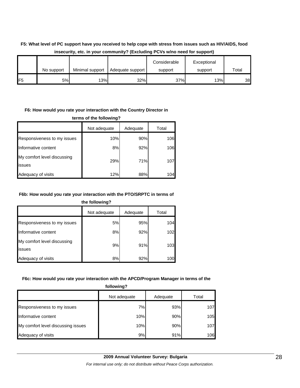#### **F5: What level of PC support have you received to help cope with stress from issues such as HIV/AIDS, food insecurity, etc. in your community? (Excluding PCVs w/no need for support)**

|                 | No support | Minimal support | Adequate support | Considerable<br>support | Exceptional<br>support | Total |
|-----------------|------------|-----------------|------------------|-------------------------|------------------------|-------|
| IF <sub>5</sub> | 5%l        | 13%             | 32%              | 37%                     | 13%                    | 38    |

#### **F6: How would you rate your interaction with the Country Director in**

**terms of the following?**

|                                       | Not adequate | Adequate | Total |
|---------------------------------------|--------------|----------|-------|
| Responsiveness to my issues           | 10%          | 90%      | 106   |
| Informative content                   | 8%           | 92%      | 106   |
| My comfort level discussing<br>issues | 29%          | 71%      | 107   |
| Adequacy of visits                    | 12%          | 88%      | 104   |

#### **F6b: How would you rate your interaction with the PTO/SRPTC in terms of**

**the following?**

|                                       | Not adequate | Adequate | Total |
|---------------------------------------|--------------|----------|-------|
| Responsiveness to my issues           | 5%           | 95%      | 104   |
| Informative content                   | 8%           | 92%      | 102   |
| My comfort level discussing<br>issues | 9%           | 91%      | 103   |
| Adequacy of visits                    | 8%           | 92%      | 100   |

#### **F6c: How would you rate your interaction with the APCD/Program Manager in terms of the**

| following?                         |              |          |       |  |  |
|------------------------------------|--------------|----------|-------|--|--|
|                                    | Not adequate | Adequate | Total |  |  |
| Responsiveness to my issues        | 7%           | 93%      | 107   |  |  |
| Informative content                | 10%          | 90%      | 105   |  |  |
| My comfort level discussing issues | 10%          | 90%      | 107   |  |  |
| Adequacy of visits                 | 9%           | 91%      | 106   |  |  |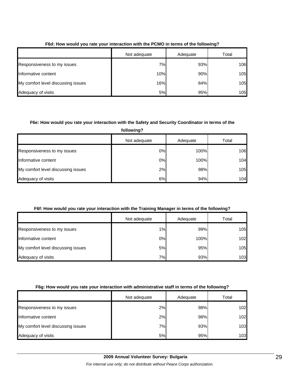|                                    | Not adequate | Adequate | Total |  |
|------------------------------------|--------------|----------|-------|--|
| Responsiveness to my issues        | 7%           | 93%      | 106   |  |
| Informative content                | 10%          | 90%      | 105   |  |
| My comfort level discussing issues | 16%          | 84%      | 105   |  |
| Adequacy of visits                 | 5%           | 95%      | 105   |  |

#### **F6d: How would you rate your interaction with the PCMO in terms of the following?**

#### **F6e: How would you rate your interaction with the Safety and Security Coordinator in terms of the**

| following?                         |              |          |       |  |  |
|------------------------------------|--------------|----------|-------|--|--|
|                                    | Not adequate | Adequate | Total |  |  |
| Responsiveness to my issues        | 0%           | 100%     | 106   |  |  |
| Informative content                | 0%           | 100%     | 104   |  |  |
| My comfort level discussing issues | 2%           | 98%      | 105   |  |  |
| Adequacy of visits                 | 6%           | 94%      | 104   |  |  |

#### **F6f: How would you rate your interaction with the Training Manager in terms of the following?**

|                                    | Not adequate | Adequate | Total |
|------------------------------------|--------------|----------|-------|
| Responsiveness to my issues        | 1%           | 99%      | 105   |
| Informative content                | $0\%$        | 100%     | 102   |
| My comfort level discussing issues | 5%           | 95%      | 105   |
| Adequacy of visits                 | 7%           | 93%      | 103   |

#### **F6g: How would you rate your interaction with administrative staff in terms of the following?**

|                                    | Not adequate | Adequate | Total |
|------------------------------------|--------------|----------|-------|
| Responsiveness to my issues        | 2%           | 98%      | 102   |
| Informative content                | 2%           | 98%      | 102   |
| My comfort level discussing issues | 7%           | 93%      | 103   |
| Adequacy of visits                 | 5%           | 95%      | 103   |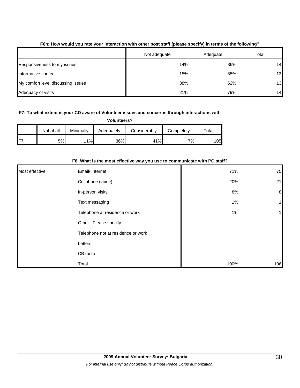|                                    | Not adequate | Adequate | Total |
|------------------------------------|--------------|----------|-------|
| Responsiveness to my issues        | 14%          | 86%      | 14    |
| Informative content                | 15%          | 85%      | 13    |
| My comfort level discussing issues | 38%          | 62%      | 13    |
| Adequacy of visits                 | 21%          | 79%      | 14    |

#### **F6h: How would you rate your interaction with other post staff (please specify) in terms of the following?**

#### **F7: To what extent is your CD aware of Volunteer issues and concerns through interactions with**

**Volunteers?**

|                 | Not at all | Minimally | Adequately | Considerably | Completely | $\tau$ otal |
|-----------------|------------|-----------|------------|--------------|------------|-------------|
| IF <sup>7</sup> | 5%l        | 11%       | 36%        | 41%          | 7%         | 105         |

|                |                                    | F8: what is the most effective way you use to communicate with PC staff? |                  |  |  |  |  |  |
|----------------|------------------------------------|--------------------------------------------------------------------------|------------------|--|--|--|--|--|
| Most effective | Email/ Internet                    | 71%                                                                      | 75               |  |  |  |  |  |
|                | Cellphone (voice)                  | 20%                                                                      | 21               |  |  |  |  |  |
|                | In-person visits                   | 8%                                                                       | $\boldsymbol{8}$ |  |  |  |  |  |
|                | Text messaging                     | 1%                                                                       |                  |  |  |  |  |  |
|                | Telephone at residence or work     | 1%                                                                       |                  |  |  |  |  |  |
|                | Other. Please specify              |                                                                          |                  |  |  |  |  |  |
|                | Telephone not at residence or work |                                                                          |                  |  |  |  |  |  |
|                | Letters                            |                                                                          |                  |  |  |  |  |  |
|                | CB radio                           |                                                                          |                  |  |  |  |  |  |
|                | Total                              | 100%                                                                     | 106              |  |  |  |  |  |

#### **F8: What is the most effective way you use to communicate with PC staff?**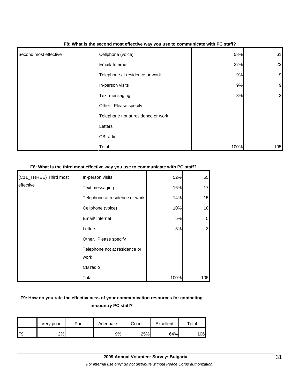|                       | - -                                |      |                |
|-----------------------|------------------------------------|------|----------------|
| Second most effective | Cellphone (voice)                  | 58%  | 61             |
|                       | Email/ Internet                    | 22%  | 23             |
|                       | Telephone at residence or work     | 9%   | 9              |
|                       | In-person visits                   | 9%   | 9              |
|                       | Text messaging                     | 3%   | $\overline{3}$ |
|                       | Other. Please specify              |      |                |
|                       | Telephone not at residence or work |      |                |
|                       | Letters                            |      |                |
|                       | CB radio                           |      |                |
|                       | Total                              | 100% | 105            |

#### **F8: What is the second most effective way you use to communicate with PC staff?**

#### **F8: What is the third most effective way you use to communicate with PC staff?**

| (C11_THREE) Third most | In-person visits                      | 52%  | 55              |
|------------------------|---------------------------------------|------|-----------------|
| leffective             | Text messaging                        | 16%  | 17              |
|                        | Telephone at residence or work        | 14%  | 15              |
|                        | Cellphone (voice)                     | 10%  | 10              |
|                        | Email/ Internet                       | 5%   | $5\overline{a}$ |
|                        | Letters                               | 3%   | 3               |
|                        | Other. Please specify                 |      |                 |
|                        | Telephone not at residence or<br>work |      |                 |
|                        | CB radio                              |      |                 |
|                        | Total                                 | 100% | 105             |

#### **F9: How do you rate the effectiveness of your communication resources for contacting in-country PC staff?**

|     | Very poor | Poor | Adequate | Good | Excellent | ™otal |
|-----|-----------|------|----------|------|-----------|-------|
| IF9 | 2%        |      | 9%l      | 25%  | 64%       | 106   |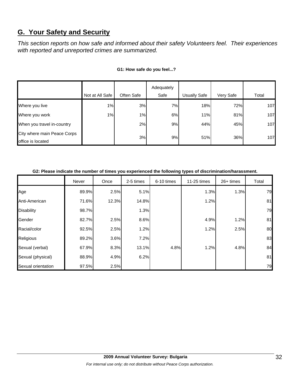## **G. Your Safety and Security**

*This section reports on how safe and informed about their safety Volunteers feel. Their experiences with reported and unreported crimes are summarized.* 

|                                                  |                 |            | Adequately |                     |           |       |
|--------------------------------------------------|-----------------|------------|------------|---------------------|-----------|-------|
|                                                  | Not at All Safe | Often Safe | Safe       | <b>Usually Safe</b> | Very Safe | Total |
| Where you live                                   | 1%              | 3%         | 7%         | 18%                 | 72%       | 107   |
| Where you work                                   | $1\%$           | $1\%$      | 6%         | 11%                 | 81%       | 107   |
| When you travel in-country                       |                 | 2%         | 9%         | 44%                 | 45%       | 107   |
| City where main Peace Corps<br>office is located |                 | 3%         | 9%         | 51%                 | 36%       | 107   |

#### **G1: How safe do you feel...?**

| G2: Please indicate the number of times you experienced the following types of discrimination/harassment. |  |
|-----------------------------------------------------------------------------------------------------------|--|

|                    | Never | Once  | 2-5 times | 6-10 times | 11-25 times | $26+$ times | Total |
|--------------------|-------|-------|-----------|------------|-------------|-------------|-------|
| Age                | 89.9% | 2.5%  | 5.1%      |            | 1.3%        | 1.3%        | 79    |
| Anti-American      | 71.6% | 12.3% | 14.8%     |            | 1.2%        |             | 81    |
| Disability         | 98.7% |       | 1.3%      |            |             |             | 79    |
| Gender             | 82.7% | 2.5%  | 8.6%      |            | 4.9%        | 1.2%        | 81    |
| Racial/color       | 92.5% | 2.5%  | 1.2%      |            | 1.2%        | 2.5%        | 80    |
| Religious          | 89.2% | 3.6%  | 7.2%      |            |             |             | 83    |
| Sexual (verbal)    | 67.9% | 8.3%  | 13.1%     | 4.8%       | 1.2%        | 4.8%        | 84    |
| Sexual (physical)  | 88.9% | 4.9%  | 6.2%      |            |             |             | 81    |
| Sexual orientation | 97.5% | 2.5%  |           |            |             |             | 79    |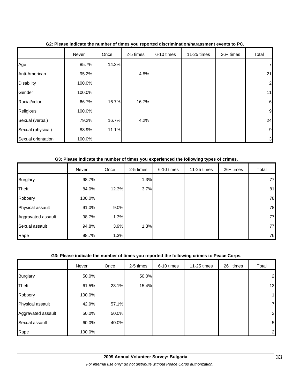|                    | Never  | Once  | 2-5 times | 6-10 times | 11-25 times | 26+ times | Total          |
|--------------------|--------|-------|-----------|------------|-------------|-----------|----------------|
| Age                | 85.7%  | 14.3% |           |            |             |           | 7 <sub>l</sub> |
| Anti-American      | 95.2%  |       | 4.8%      |            |             |           | 21             |
| <b>Disability</b>  | 100.0% |       |           |            |             |           | 2              |
| Gender             | 100.0% |       |           |            |             |           | 11             |
| Racial/color       | 66.7%  | 16.7% | 16.7%     |            |             |           | 6              |
| Religious          | 100.0% |       |           |            |             |           | 9              |
| Sexual (verbal)    | 79.2%  | 16.7% | 4.2%      |            |             |           | 24             |
| Sexual (physical)  | 88.9%  | 11.1% |           |            |             |           | 9              |
| Sexual orientation | 100.0% |       |           |            |             |           | 3              |

#### **G2: Please indicate the number of times you reported discrimination/harassment events to PC.**

#### **G3: Please indicate the number of times you experienced the following types of crimes.**

|                    | Never  | Once  | 2-5 times | 6-10 times | 11-25 times | $26+$ times | Total |
|--------------------|--------|-------|-----------|------------|-------------|-------------|-------|
| <b>Burglary</b>    | 98.7%  |       | 1.3%      |            |             |             | 77    |
| <b>Theft</b>       | 84.0%  | 12.3% | 3.7%      |            |             |             | 81    |
| Robbery            | 100.0% |       |           |            |             |             | 78    |
| Physical assault   | 91.0%  | 9.0%  |           |            |             |             | 78    |
| Aggravated assault | 98.7%  | 1.3%  |           |            |             |             | 77    |
| Sexual assault     | 94.8%  | 3.9%  | 1.3%      |            |             |             | 77    |
| Rape               | 98.7%  | 1.3%  |           |            |             |             | 76    |

#### **G3: Please indicate the number of times you reported the following crimes to Peace Corps.**

|                    | Never  | Once  | 2-5 times | 6-10 times | 11-25 times | $26+$ times | Total        |
|--------------------|--------|-------|-----------|------------|-------------|-------------|--------------|
| <b>Burglary</b>    | 50.0%  |       | 50.0%     |            |             |             | $\mathbf{2}$ |
| Theft              | 61.5%  | 23.1% | 15.4%     |            |             |             | 13           |
| Robbery            | 100.0% |       |           |            |             |             | 1            |
| Physical assault   | 42.9%  | 57.1% |           |            |             |             | 7            |
| Aggravated assault | 50.0%  | 50.0% |           |            |             |             | $\mathbf{2}$ |
| Sexual assault     | 60.0%  | 40.0% |           |            |             |             | 5            |
| Rape               | 100.0% |       |           |            |             |             | 2            |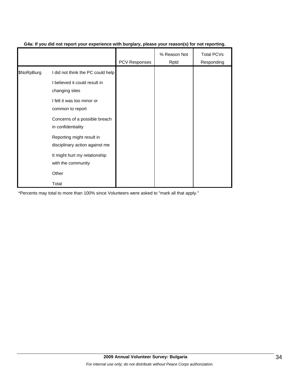|            |                                                             | <b>PCV Responses</b> | % Reason Not<br>Rptd | <b>Total PCVs</b><br>Responding |
|------------|-------------------------------------------------------------|----------------------|----------------------|---------------------------------|
| \$NoRpBurg | I did not think the PC could help                           |                      |                      |                                 |
|            | I believed it could result in<br>changing sites             |                      |                      |                                 |
|            | I felt it was too minor or<br>common to report              |                      |                      |                                 |
|            | Concerns of a possible breach<br>in confidentiality         |                      |                      |                                 |
|            | Reporting might result in<br>disciplinary action against me |                      |                      |                                 |
|            | It might hurt my relationship<br>with the community         |                      |                      |                                 |
|            | Other                                                       |                      |                      |                                 |
|            | Total                                                       |                      |                      |                                 |

#### **G4a: If you did not report your experience with burglary, please your reason(s) for not reporting.**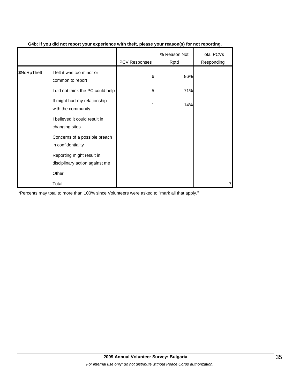|             |                                                             | PCV Responses | % Reason Not<br>Rptd | Total PCVs<br>Responding |
|-------------|-------------------------------------------------------------|---------------|----------------------|--------------------------|
| \$NoRpTheft | I felt it was too minor or<br>common to report              | 6             | 86%                  |                          |
|             | I did not think the PC could help                           | 5             | 71%                  |                          |
|             | It might hurt my relationship<br>with the community         |               | 14%                  |                          |
|             | I believed it could result in<br>changing sites             |               |                      |                          |
|             | Concerns of a possible breach<br>in confidentiality         |               |                      |                          |
|             | Reporting might result in<br>disciplinary action against me |               |                      |                          |
|             | Other                                                       |               |                      |                          |
|             | Total                                                       |               |                      |                          |

#### **G4b: If you did not report your experience with theft, please your reason(s) for not reporting.**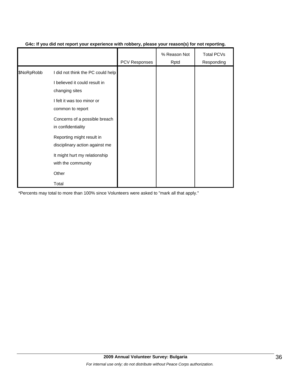|            |                                                             | <b>PCV Responses</b> | % Reason Not<br>Rptd | <b>Total PCVs</b><br>Responding |
|------------|-------------------------------------------------------------|----------------------|----------------------|---------------------------------|
| \$NoRpRobb | I did not think the PC could help                           |                      |                      |                                 |
|            | I believed it could result in<br>changing sites             |                      |                      |                                 |
|            | I felt it was too minor or<br>common to report              |                      |                      |                                 |
|            | Concerns of a possible breach<br>in confidentiality         |                      |                      |                                 |
|            | Reporting might result in<br>disciplinary action against me |                      |                      |                                 |
|            | It might hurt my relationship<br>with the community         |                      |                      |                                 |
|            | Other                                                       |                      |                      |                                 |
|            | Total                                                       |                      |                      |                                 |

#### **G4c: If you did not report your experience with robbery, please your reason(s) for not reporting.**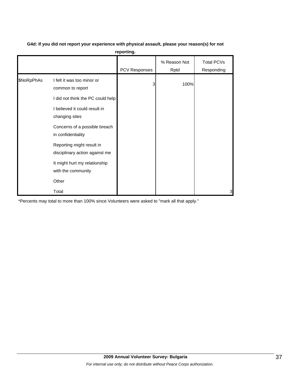|            |                                                                                     | reporting.    |                      |                                 |
|------------|-------------------------------------------------------------------------------------|---------------|----------------------|---------------------------------|
|            |                                                                                     | PCV Responses | % Reason Not<br>Rptd | <b>Total PCVs</b><br>Responding |
| \$NoRpPhAs | I felt it was too minor or<br>common to report<br>I did not think the PC could help | 3             | 100%                 |                                 |
|            | I believed it could result in<br>changing sites                                     |               |                      |                                 |
|            | Concerns of a possible breach<br>in confidentiality                                 |               |                      |                                 |
|            | Reporting might result in<br>disciplinary action against me                         |               |                      |                                 |
|            | It might hurt my relationship<br>with the community                                 |               |                      |                                 |
|            | Other                                                                               |               |                      |                                 |
|            | Total                                                                               |               |                      | 3                               |

**G4d: If you did not report your experience with physical assault, please your reason(s) for not**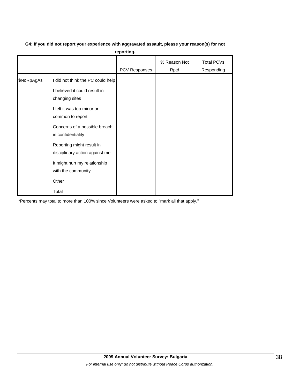**G4: If you did not report your experience with aggravated assault, please your reason(s) for not** 

**reporting.**

|            |                                                                                                                                                                                                                                                                                                                     | PCV Responses | % Reason Not<br>Rptd | <b>Total PCVs</b><br>Responding |
|------------|---------------------------------------------------------------------------------------------------------------------------------------------------------------------------------------------------------------------------------------------------------------------------------------------------------------------|---------------|----------------------|---------------------------------|
| \$NoRpAgAs | I did not think the PC could help<br>I believed it could result in<br>changing sites<br>I felt it was too minor or<br>common to report<br>Concerns of a possible breach<br>in confidentiality<br>Reporting might result in<br>disciplinary action against me<br>It might hurt my relationship<br>with the community |               |                      |                                 |
|            | Other<br>Total                                                                                                                                                                                                                                                                                                      |               |                      |                                 |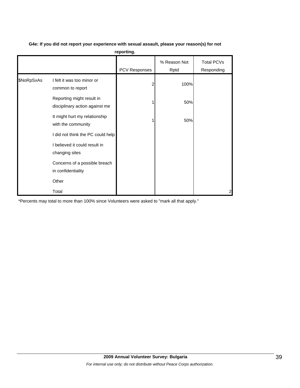|            |                                                             | reporting.    |                      |                                 |
|------------|-------------------------------------------------------------|---------------|----------------------|---------------------------------|
|            |                                                             | PCV Responses | % Reason Not<br>Rptd | <b>Total PCVs</b><br>Responding |
| \$NoRpSxAs | I felt it was too minor or<br>common to report              | 2             | 100%                 |                                 |
|            | Reporting might result in<br>disciplinary action against me |               | 50%                  |                                 |
|            | It might hurt my relationship<br>with the community         |               | 50%                  |                                 |
|            | I did not think the PC could help                           |               |                      |                                 |
|            | I believed it could result in<br>changing sites             |               |                      |                                 |
|            | Concerns of a possible breach<br>in confidentiality         |               |                      |                                 |
|            | Other                                                       |               |                      |                                 |
|            | Total                                                       |               |                      | $\overline{c}$                  |

#### **G4e: If you did not report your experience with sexual assault, please your reason(s) for not**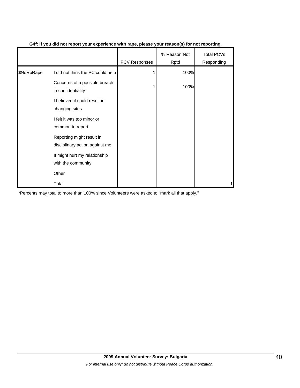|            |                                                             | <b>PCV Responses</b> | % Reason Not<br>Rptd | <b>Total PCVs</b><br>Responding |
|------------|-------------------------------------------------------------|----------------------|----------------------|---------------------------------|
| \$NoRpRape | I did not think the PC could help                           |                      | 100%                 |                                 |
|            | Concerns of a possible breach<br>in confidentiality         |                      | 100%                 |                                 |
|            | I believed it could result in<br>changing sites             |                      |                      |                                 |
|            | I felt it was too minor or<br>common to report              |                      |                      |                                 |
|            | Reporting might result in<br>disciplinary action against me |                      |                      |                                 |
|            | It might hurt my relationship<br>with the community         |                      |                      |                                 |
|            | Other                                                       |                      |                      |                                 |
|            | Total                                                       |                      |                      |                                 |

#### **G4f: If you did not report your experience with rape, please your reason(s) for not reporting.**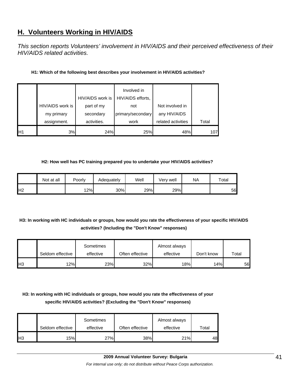## **H. Volunteers Working in HIV/AIDS**

*This section reports Volunteers' involvement in HIV/AIDS and their perceived effectiveness of their HIV/AIDS related activities.* 

| H1: Which of the following best describes your involvement in HIV/AIDS activities? |  |
|------------------------------------------------------------------------------------|--|
|------------------------------------------------------------------------------------|--|

|                |                  | HIV/AIDS work is | Involved in<br>HIV/AIDS efforts, |                    |       |
|----------------|------------------|------------------|----------------------------------|--------------------|-------|
|                | HIV/AIDS work is | part of my       | not                              | Not involved in    |       |
|                | my primary       | secondary        | primary/secondary                | any HIV/AIDS       |       |
|                | assignment.      | activities.      | work                             | related activities | Total |
| H <sub>1</sub> | 3%               | 24%              | 25%                              | 48%                | 107   |

#### **H2: How well has PC training prepared you to undertake your HIV/AIDS activities?**

|                | Not at all | Poorly | Adequately | Well | √erv well | NA | $\tau$ otal |
|----------------|------------|--------|------------|------|-----------|----|-------------|
| H <sub>2</sub> |            | 12%    | 30%        | 29%  | 29%       |    | 56          |

#### **H3: In working with HC individuals or groups, how would you rate the effectiveness of your specific HIV/AIDS activities? (Including the "Don't Know" responses)**

|                 | Seldom effective | Sometimes<br>effective | Often effective | Almost always<br>effective | Don't know | Total |
|-----------------|------------------|------------------------|-----------------|----------------------------|------------|-------|
| IH <sub>3</sub> | 12%              | 23%                    | 32%             | 18% <sub>L</sub>           | 14%        | 56    |

#### **H3: In working with HC individuals or groups, how would you rate the effectiveness of your specific HIV/AIDS activities? (Excluding the "Don't Know" responses)**

|                | Seldom effective | Sometimes<br>effective | Often effective | Almost always<br>effective | Total |
|----------------|------------------|------------------------|-----------------|----------------------------|-------|
| H <sub>3</sub> | 15%              | 27%                    | 38%             | 21%                        | 48    |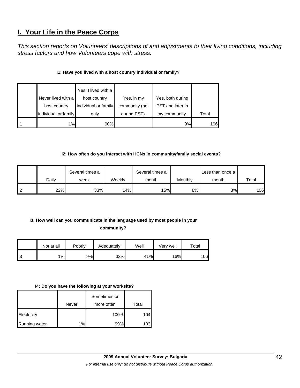## **I. Your Life in the Peace Corps**

*This section reports on Volunteers' descriptions of and adjustments to their living conditions, including stress factors and how Volunteers cope with stress.* 

#### **I1: Have you lived with a host country individual or family?**

|    |                      | Yes, I lived with a  |                |                  |       |
|----|----------------------|----------------------|----------------|------------------|-------|
|    | Never lived with a   | host country         | Yes, in my     | Yes, both during |       |
|    | host country         | individual or family | community (not | PST and later in |       |
|    | individual or family | only                 | during PST).   | my community.    | Total |
| 11 | 1%                   | 90%                  |                | 9%               | 106   |

#### **I2: How often do you interact with HCNs in community/family social events?**

|     |       | Several times a |        | Several times a |         | Less than once a |       |
|-----|-------|-----------------|--------|-----------------|---------|------------------|-------|
|     | Dailv | week            | Weeklv | month           | Monthly | month            | Total |
| II2 | 22%   | 33%             | 14%    | 15%             | 8%      | 8%               | 106   |

## **I3: How well can you communicate in the language used by most people in your**

#### **community?**

|                 | Not at all | Poorly | Adequately | Well | Verv well | Total |
|-----------------|------------|--------|------------|------|-----------|-------|
| II <sub>3</sub> | 1%         | 9%     | 33%        | 41%  | 16%       | 106   |

#### **I4: Do you have the following at your worksite?**

|               |       | Sometimes or |       |
|---------------|-------|--------------|-------|
|               | Never | more often   | Total |
| Electricity   |       | 100%         | 104   |
| Running water | 1%    | 99%          | 103   |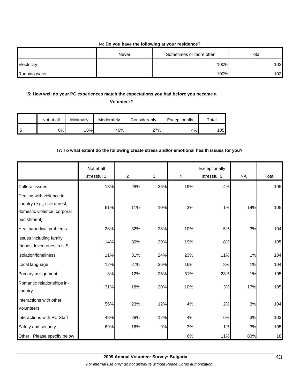#### **I4: Do you have the following at your residence?**

|                      | Never | Sometimes or more often | Total |
|----------------------|-------|-------------------------|-------|
| Electricity          |       | 100%                    | 103   |
| <b>Running water</b> |       | 100%                    | 102   |

#### **I5: How well do your PC experiences match the expectations you had before you became a**

**Volunteer?** 

|                 | Not at all | Minimally | Moderately | Considerably | Exceptionally | Total |
|-----------------|------------|-----------|------------|--------------|---------------|-------|
| II <sub>5</sub> | 6%         | 18%       | 46%        | 27%          | 4%            | 105   |

#### **I7: To what extent do the following create stress and/or emotional health issues for you?**

|                                                                                                        | Not at all<br>stressful 1 | $\overline{2}$ | 3   | 4   | Exceptionally<br>stressful 5 | <b>NA</b> | Total |
|--------------------------------------------------------------------------------------------------------|---------------------------|----------------|-----|-----|------------------------------|-----------|-------|
| <b>Cultural issues</b>                                                                                 | 13%                       | 28%            | 36% | 19% | 4%                           |           | 105   |
| Dealing with violence in<br>country (e.g., civil unrest,<br>domestic violence, corporal<br>punishment) | 61%                       | 11%            | 10% | 3%  | 1%                           | 14%       | 105   |
| Health/medical problems                                                                                | 28%                       | 32%            | 23% | 10% | 5%                           | 3%        | 104   |
| Issues including family,<br>friends, loved ones in U.S.                                                | 14%                       | 30%            | 29% | 19% | 8%                           |           | 105   |
| Isolation/loneliness                                                                                   | 11%                       | 31%            | 24% | 23% | 11%                          | 1%        | 104   |
| Local language                                                                                         | 12%                       | 27%            | 36% | 16% | 8%                           | 1%        | 104   |
| Primary assignment                                                                                     | 8%                        | 12%            | 25% | 31% | 23%                          | 1%        | 105   |
| Romantic relationships in-<br>country                                                                  | 31%                       | 18%            | 20% | 10% | 3%                           | 17%       | 105   |
| Interactions with other<br>Volunteers                                                                  | 56%                       | 23%            | 12% | 4%  | 2%                           | 3%        | 104   |
| Interactions with PC Staff                                                                             | 48%                       | 28%            | 12% | 4%  | 6%                           | 3%        | 103   |
| Safety and security                                                                                    | 69%                       | 16%            | 9%  | 3%  | 1%                           | 3%        | 105   |
| Other: Please specify below                                                                            |                           |                |     | 6%  | 11%                          | 83%       | 18    |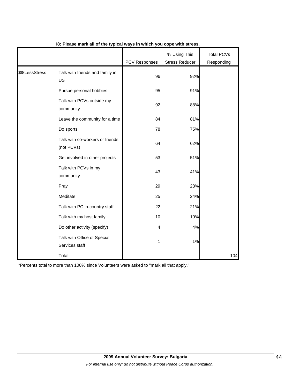|                |                                               | PCV Responses | % Using This<br><b>Stress Reducer</b> | <b>Total PCVs</b><br>Responding |
|----------------|-----------------------------------------------|---------------|---------------------------------------|---------------------------------|
| \$I8LessStress | Talk with friends and family in<br>US         | 96            | 92%                                   |                                 |
|                | Pursue personal hobbies                       | 95            | 91%                                   |                                 |
|                | Talk with PCVs outside my<br>community        | 92            | 88%                                   |                                 |
|                | Leave the community for a time                | 84            | 81%                                   |                                 |
|                | Do sports                                     | 78            | 75%                                   |                                 |
|                | Talk with co-workers or friends<br>(not PCVs) | 64            | 62%                                   |                                 |
|                | Get involved in other projects                | 53            | 51%                                   |                                 |
|                | Talk with PCVs in my<br>community             | 43            | 41%                                   |                                 |
|                | Pray                                          | 29            | 28%                                   |                                 |
|                | Meditate                                      | 25            | 24%                                   |                                 |
|                | Talk with PC in-country staff                 | 22            | 21%                                   |                                 |
|                | Talk with my host family                      | 10            | 10%                                   |                                 |
|                | Do other activity (specify)                   | 4             | 4%                                    |                                 |
|                | Talk with Office of Special<br>Services staff | 1             | 1%                                    |                                 |
|                | Total                                         |               |                                       | 104                             |

#### **I8: Please mark all of the typical ways in which you cope with stress.**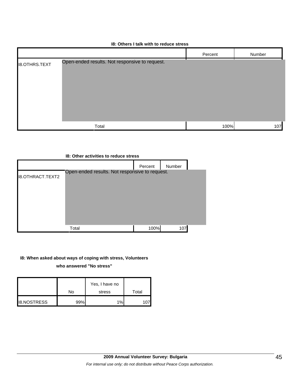|                      | 18: Others I talk with to reduce stress        |         |        |
|----------------------|------------------------------------------------|---------|--------|
|                      |                                                | Percent | Number |
| <b>I8.OTHRS.TEXT</b> | Open-ended results. Not responsive to request. |         |        |
|                      | Total                                          | 100%    | 107    |

## **I8: Other activities to reduce stress** Percent Number I8.OTHRACT.TEXT2 Total 100% 107 Open-ended results. Not responsive to request.

#### **I8: When asked about ways of coping with stress, Volunteers**

**who answered "No stress"** 

|                    | No  | Yes, I have no<br>stress | Total |
|--------------------|-----|--------------------------|-------|
| <b>I8.NOSTRESS</b> | 99% | $1\%$                    |       |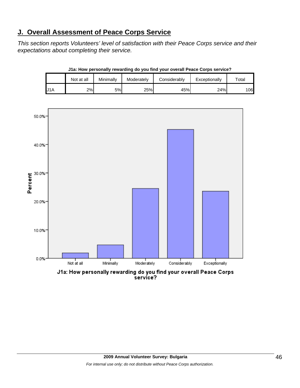## **J. Overall Assessment of Peace Corps Service**

*This section reports Volunteers' level of satisfaction with their Peace Corps service and their expectations about completing their service.* 

|     | Not at all | Minimally | Moderately | Considerablv | Exceptionally | $\tau$ otal |
|-----|------------|-----------|------------|--------------|---------------|-------------|
| U1A | 2%         | 5%l       | 25%        | 45%          | 24%           | 106         |





J1a: How personally rewarding do you find your overall Peace Corps service?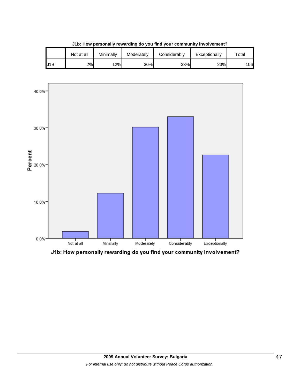|     | Not at all | Minimallv | Moderately | Considerablv | Exceptionally | $\tau$ otai |
|-----|------------|-----------|------------|--------------|---------------|-------------|
| J1B | 2%         | 12%       | 30%        | 33%          | 23%           | 106         |

**J1b: How personally rewarding do you find your community involvement?**



J1b: How personally rewarding do you find your community involvement?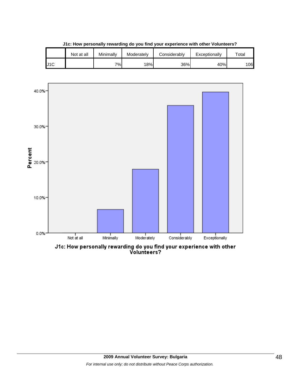|     | Not at all | Minimally | Moderately | Considerably | Exceptionally | $\tau$ otal |
|-----|------------|-----------|------------|--------------|---------------|-------------|
| J1C |            | 7%        | 18%        | 36%          | 40%           | 106         |





J1c: How personally rewarding do you find your experience with other<br>Volunteers?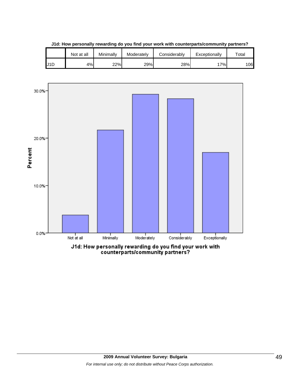|     | Not at all | Minimally | Moderately | Considerably | Exceptionally | $\tau$ otal |
|-----|------------|-----------|------------|--------------|---------------|-------------|
| J1D | 4%         | 22%       | 29%        | 28%          | 7%            | 106         |

**J1d: How personally rewarding do you find your work with counterparts/community partners?**

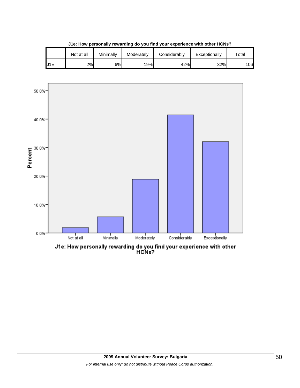|                  | Not at all | Minimallv | Moderately | Considerably | Exceptionally | $\tau$ otai |
|------------------|------------|-----------|------------|--------------|---------------|-------------|
| J <sub>1</sub> E | 2%         | 6%l       | 19%        | 42%          | 32%           | 106         |

**J1e: How personally rewarding do you find your experience with other HCNs?**

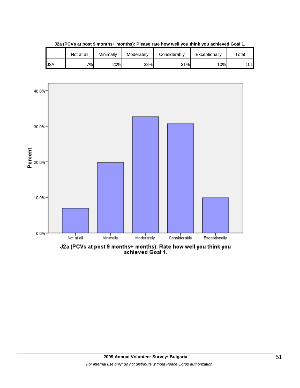|     | Not at all | Minimally | Moderately | Considerablv | Exceptionally | $\tau$ otal |
|-----|------------|-----------|------------|--------------|---------------|-------------|
| J2A | 7%         | 20%       | 33%        | 31%          | 10%           | 101         |

**J2a (PCVs at post 9 months+ months): Please rate how well you think you achieved Goal 1.**

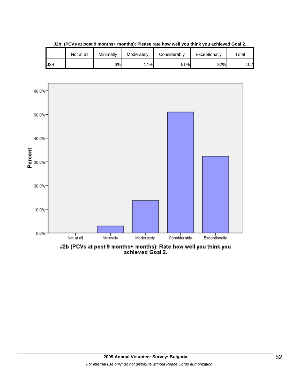

**J2b: (PCVs at post 9 months+ months): Please rate how well you think you achieved Goal 2.**

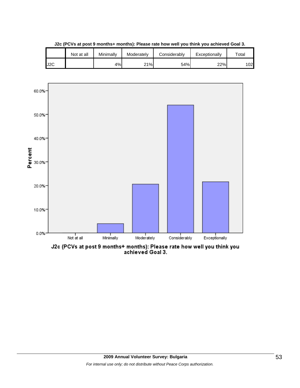

**J2c (PCVs at post 9 months+ months): Please rate how well you think you achieved Goal 3.**



J2c (PCVs at post 9 months+ months): Please rate how well you think you<br>achieved Goal 3.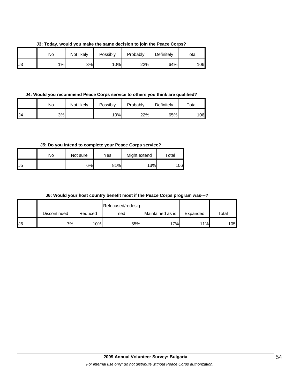**J3: Today, would you make the same decision to join the Peace Corps?**

|     | No | Not likely | Possibly | Probably | Definitely | $\tau$ otal |
|-----|----|------------|----------|----------|------------|-------------|
| IJЗ | 1% | 3%         | 10%      | 22%      | 64%        | 06          |

**J4: Would you recommend Peace Corps service to others you think are qualified?**

|     | No | Not likely | Possibly | Probably | Definitely | $\tau$ otal |
|-----|----|------------|----------|----------|------------|-------------|
| IJ4 | 3% |            | 10%      | 22%      | 65%        | 106         |

**J5: Do you intend to complete your Peace Corps service?**

|     | No | Not sure | Yes | Might extend | $\tau$ otal |
|-----|----|----------|-----|--------------|-------------|
| IJ5 |    | 6%       | 81% | 13%          | 06          |

| J6: Would your host country benefit most if the Peace Corps program was---? |  |  |
|-----------------------------------------------------------------------------|--|--|
|-----------------------------------------------------------------------------|--|--|

|    |              |         | Refocused/redesig |                  |          |             |
|----|--------------|---------|-------------------|------------------|----------|-------------|
|    | Discontinued | Reduced | ned               | Maintained as is | Expanded | $\tau$ otal |
| J6 | 7%1          | 10%     | 55%               | 17%              | 11%      | 105         |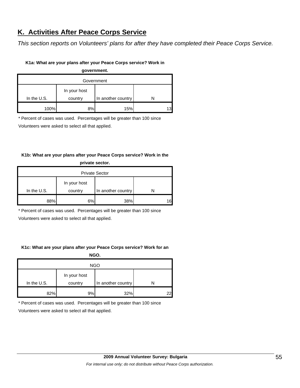## **K. Activities After Peace Corps Service**

*This section reports on Volunteers' plans for after they have completed their Peace Corps Service.* 

#### **K1a: What are your plans after your Peace Corps service? Work in**

**government.**

| Government    |              |                    |  |  |  |
|---------------|--------------|--------------------|--|--|--|
|               | In your host |                    |  |  |  |
| In the $U.S.$ | country      | In another country |  |  |  |
| 100%          | 8%           | 15%                |  |  |  |

\* Percent of cases was used. Percentages will be greater than 100 since

Volunteers were asked to select all that applied.

#### **K1b: What are your plans after your Peace Corps service? Work in the private sector.**

| <b>Private Sector</b> |              |                    |   |  |  |
|-----------------------|--------------|--------------------|---|--|--|
|                       | In your host |                    |   |  |  |
| In the U.S.           | country      | In another country |   |  |  |
| 88%                   | 6%           | 38%                | ี |  |  |

\* Percent of cases was used. Percentages will be greater than 100 since

Volunteers were asked to select all that applied.

#### **K1c: What are your plans after your Peace Corps service? Work for an**

**NGO.**

| <b>NGO</b>  |                         |                    |    |  |  |
|-------------|-------------------------|--------------------|----|--|--|
| In the U.S. | In your host<br>country | In another country |    |  |  |
| 82%         | 9%                      | 32%                | 22 |  |  |

\* Percent of cases was used. Percentages will be greater than 100 since

Volunteers were asked to select all that applied.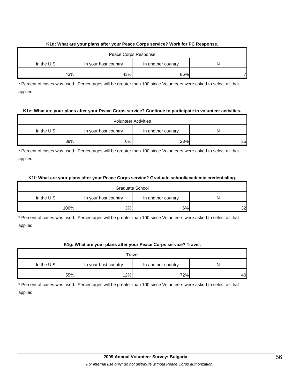#### **K1d: What are your plans after your Peace Corps service? Work for PC Response.**

| Peace Corps Response |                      |                    |   |  |  |
|----------------------|----------------------|--------------------|---|--|--|
| In the $U.S.$        | In your host country | In another country | N |  |  |
| 43%                  | 43%                  | 86%                |   |  |  |

\* Percent of cases was used. Percentages will be greater than 100 since Volunteers were asked to select all that applied.

#### **K1e: What are your plans after your Peace Corps service? Continue to participate in volunteer activities.**

| <b>Volunteer Activities</b> |                      |                    |                 |  |  |
|-----------------------------|----------------------|--------------------|-----------------|--|--|
| In the $U.S.$               | In your host country | In another country | N               |  |  |
| 89%                         | 6%                   | 23%                | 35 <sub>l</sub> |  |  |

\* Percent of cases was used. Percentages will be greater than 100 since Volunteers were asked to select all that applied.

#### **K1f: What are your plans after your Peace Corps service? Graduate school/academic credentialing.**

| Graduate School |                      |                    |    |  |  |
|-----------------|----------------------|--------------------|----|--|--|
| In the $U.S.$   | In your host country | In another country |    |  |  |
| 100%            | 3%                   | 6%                 | 32 |  |  |

\* Percent of cases was used. Percentages will be greater than 100 since Volunteers were asked to select all that applied.

#### **K1g: What are your plans after your Peace Corps service? Travel.**

| Travel        |                      |                    |    |  |
|---------------|----------------------|--------------------|----|--|
| In the $U.S.$ | In your host country | In another country |    |  |
| 55%           | 12%                  | 72%                | 40 |  |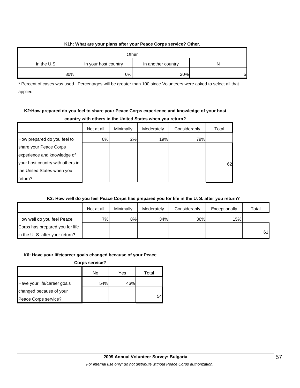#### **K1h: What are your plans after your Peace Corps service? Other.**

| Other       |                      |                    |   |
|-------------|----------------------|--------------------|---|
| In the U.S. | In your host country | In another country |   |
| 80%         | 0%                   | 20%                | 5 |

\* Percent of cases was used. Percentages will be greater than 100 since Volunteers were asked to select all that applied.

#### **K2:How prepared do you feel to share your Peace Corps experience and knowledge of your host country with others in the United States when you return?**

|                                  | Not at all | Minimally | Moderately | Considerably | Total |
|----------------------------------|------------|-----------|------------|--------------|-------|
| How prepared do you feel to      | 0%         | 2%        | 19%        | 79%          |       |
| share your Peace Corps           |            |           |            |              |       |
| experience and knowledge of      |            |           |            |              |       |
| your host country with others in |            |           |            |              | 62    |
| the United States when you       |            |           |            |              |       |
| return?                          |            |           |            |              |       |

#### **K3: How well do you feel Peace Corps has prepared you for life in the U. S. after you return?**

|                                 | Not at all | Minimally | Moderately | Considerably | Exceptionally | Total |
|---------------------------------|------------|-----------|------------|--------------|---------------|-------|
| How well do you feel Peace      | 7%         | 8%        | 34%        | 36%          | 15%           |       |
| Corps has prepared you for life |            |           |            |              |               |       |
| in the U. S. after your return? |            |           |            |              |               | 61    |

#### **K6: Have your life/career goals changed because of your Peace**

**Corps service?**

|                             | No  | Yes | Total |
|-----------------------------|-----|-----|-------|
| Have your life/career goals | 54% | 46% |       |
| changed because of your     |     |     |       |
| Peace Corps service?        |     |     | 54    |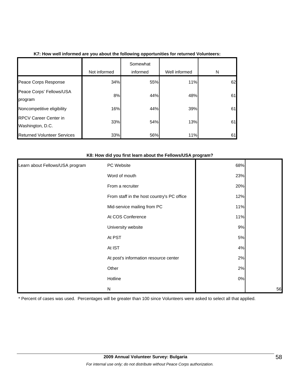|                                                  |              | Somewhat |               |    |
|--------------------------------------------------|--------------|----------|---------------|----|
|                                                  | Not informed | informed | Well informed | N  |
| Peace Corps Response                             | 34%          | 55%      | 11%           | 62 |
| Peace Corps' Fellows/USA<br>program              | 8%           | 44%      | 48%           | 61 |
| Noncompetitive eligibility                       | 16%          | 44%      | 39%           | 61 |
| <b>RPCV Career Center in</b><br>Washington, D.C. | 33%          | 54%      | 13%           | 61 |
| <b>Returned Volunteer Services</b>               | 33%          | 56%      | 11%           | 61 |

#### **K8: How did you first learn about the Fellows/USA program?**

| Learn about Fellows/USA program | PC Website                                 | 68%   |    |
|---------------------------------|--------------------------------------------|-------|----|
|                                 | Word of mouth                              | 23%   |    |
|                                 | From a recruiter                           | 20%   |    |
|                                 | From staff in the host country's PC office | 12%   |    |
|                                 | Mid-service mailing from PC                | 11%   |    |
|                                 | At COS Conference                          | 11%   |    |
|                                 | University website                         | 9%    |    |
|                                 | At PST                                     | $5\%$ |    |
|                                 | At IST                                     | 4%    |    |
|                                 | At post's information resource center      | 2%    |    |
|                                 | Other                                      | 2%    |    |
|                                 | Hotline                                    | $0\%$ |    |
|                                 | N                                          |       | 56 |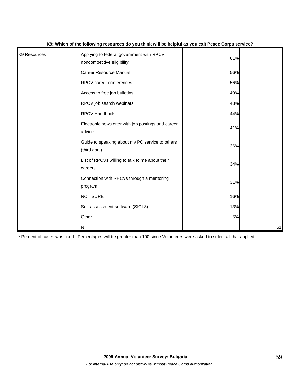| K9 Resources | Applying to federal government with RPCV<br>noncompetitive eligibility | 61% |    |
|--------------|------------------------------------------------------------------------|-----|----|
|              | <b>Career Resource Manual</b>                                          | 56% |    |
|              | RPCV career conferences                                                | 56% |    |
|              | Access to free job bulletins                                           | 49% |    |
|              | RPCV job search webinars                                               | 48% |    |
|              | RPCV Handbook                                                          | 44% |    |
|              | Electronic newsletter with job postings and career<br>advice           | 41% |    |
|              | Guide to speaking about my PC service to others<br>(third goal)        | 36% |    |
|              | List of RPCVs willing to talk to me about their<br>careers             | 34% |    |
|              | Connection with RPCVs through a mentoring<br>program                   | 31% |    |
|              | <b>NOT SURE</b>                                                        | 16% |    |
|              | Self-assessment software (SIGI 3)                                      | 13% |    |
|              | Other                                                                  | 5%  |    |
|              | ${\sf N}$                                                              |     | 61 |

#### **K9: Which of the following resources do you think will be helpful as you exit Peace Corps service?**